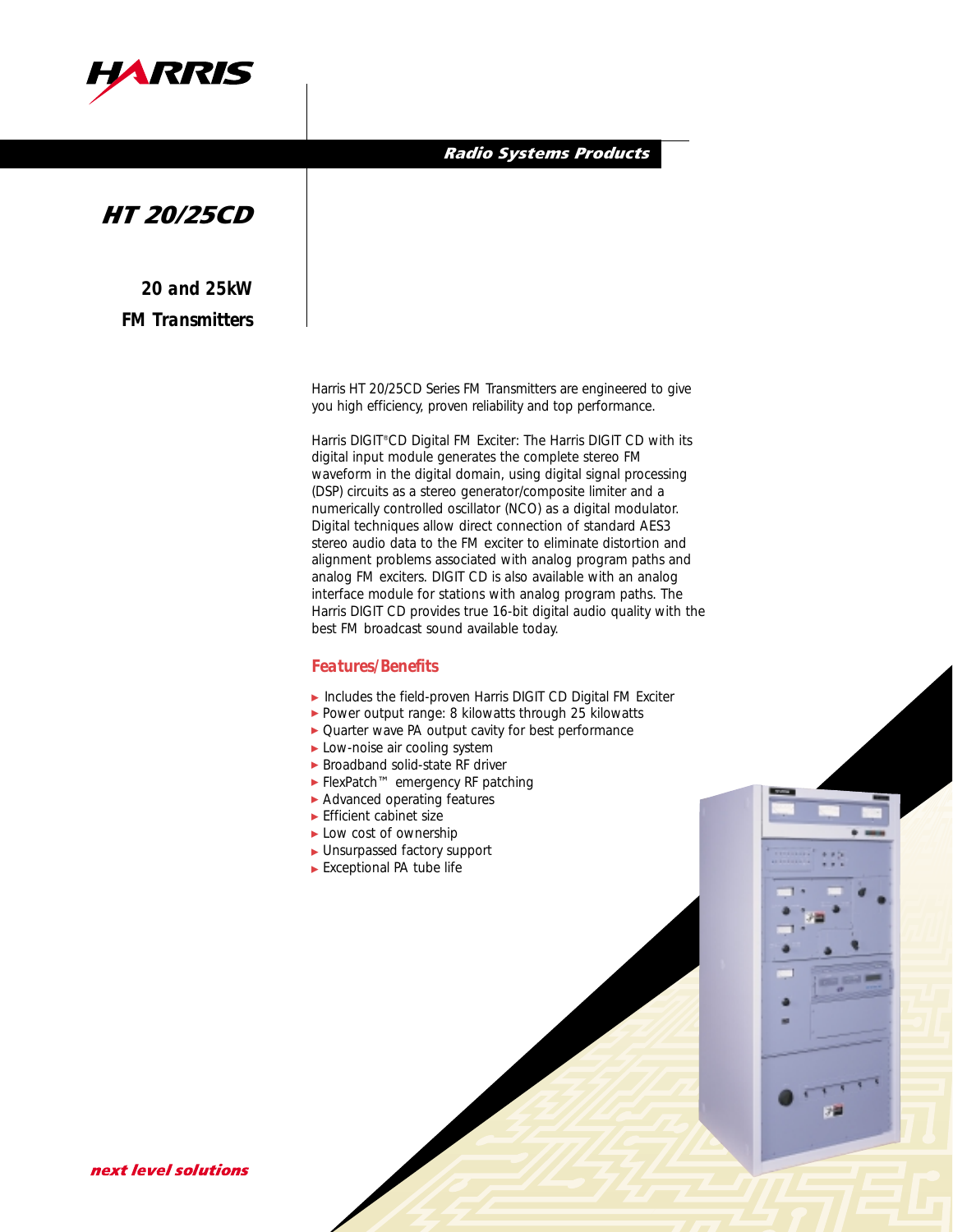

#### Radio Systems Products

# HT 20/25CD

*20 and 25kW FM Transmitters*

> Harris HT 20/25CD Series FM Transmitters are engineered to give you high efficiency, proven reliability and top performance.

Harris DIGIT®CD Digital FM Exciter: The Harris DIGIT CD with its digital input module generates the complete stereo FM waveform in the digital domain, using digital signal processing (DSP) circuits as a stereo generator/composite limiter and a numerically controlled oscillator (NCO) as a digital modulator. Digital techniques allow direct connection of standard AES3 stereo audio data to the FM exciter to eliminate distortion and alignment problems associated with analog program paths and analog FM exciters. DIGIT CD is also available with an analog interface module for stations with analog program paths. The Harris DIGIT CD provides true 16-bit digital audio quality with the best FM broadcast sound available today.

#### *Features/Benefits*

- Includes the field-proven Harris DIGIT CD Digital FM Exciter
- ► Includes the field-proven Harris DiGIT CD Digital FM E<br>► Power output range: 8 kilowatts through 25 kilowatts
- ▶ Quarter wave PA output cavity for best performance
- ▶ Low-noise air cooling system
- ▶ Broadband solid-state RF driver
- ► FlexPatch™ emergency RF patching
- ▶ Advanced operating features
- ► Efficient cabinet size
- ▶ Low cost of ownership
- ▶ Unsurpassed factory support
- ► Exceptional PA tube life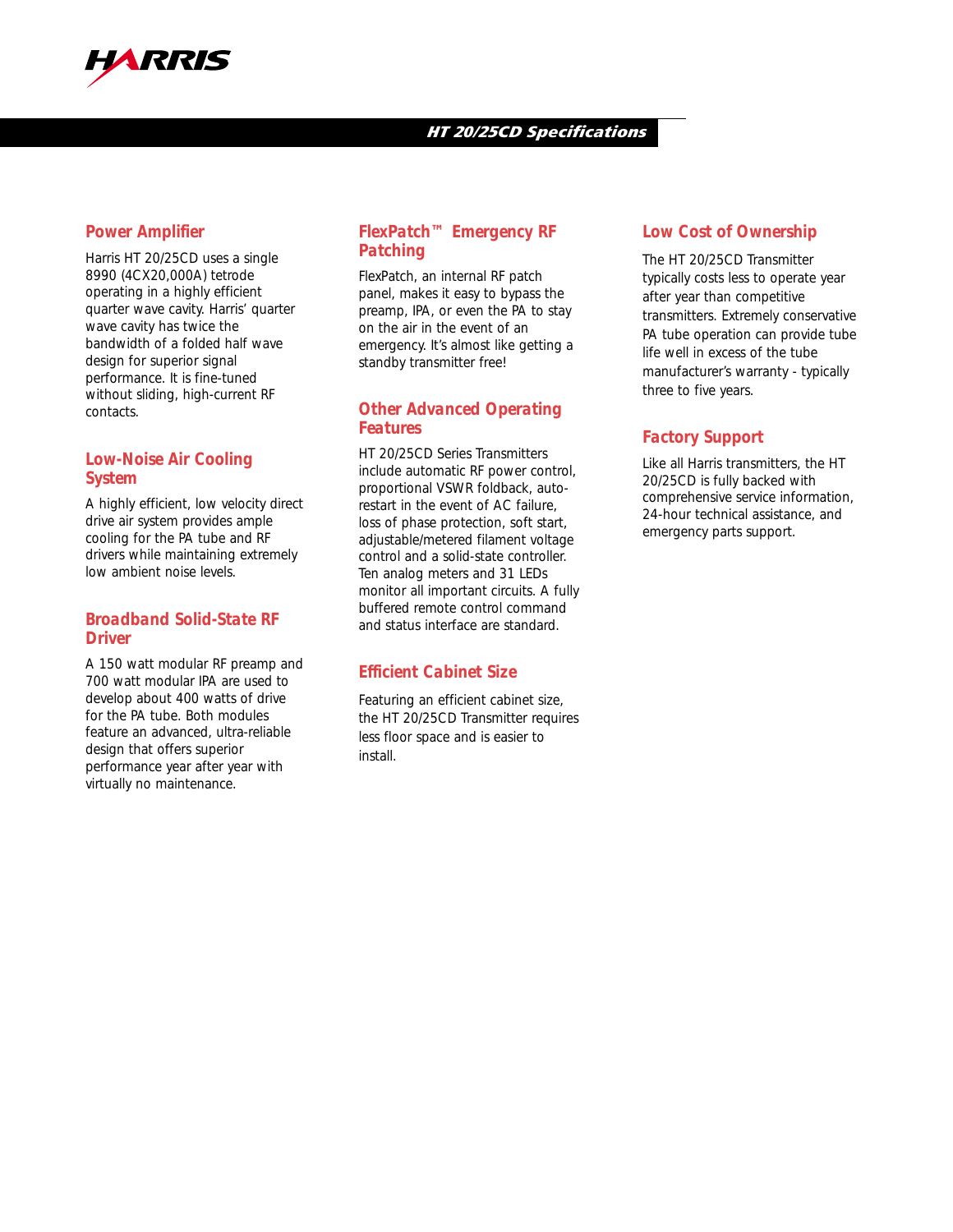

## HT 20/25CD Specifications

# *Power Amplifier*

Harris HT 20/25CD uses a single 8990 (4CX20,000A) tetrode operating in a highly efficient quarter wave cavity. Harris' quarter wave cavity has twice the bandwidth of a folded half wave design for superior signal performance. It is fine-tuned without sliding, high-current RF contacts.

# *Low-Noise Air Cooling System*

A highly efficient, low velocity direct drive air system provides ample cooling for the PA tube and RF drivers while maintaining extremely low ambient noise levels.

## *Broadband Solid-State RF Driver*

A 150 watt modular RF preamp and 700 watt modular IPA are used to develop about 400 watts of drive for the PA tube. Both modules feature an advanced, ultra-reliable design that offers superior performance year after year with virtually no maintenance.

## *FlexPatch™ Emergency RF Patching*

FlexPatch, an internal RF patch panel, makes it easy to bypass the preamp, IPA, or even the PA to stay on the air in the event of an emergency. It's almost like getting a standby transmitter free!

## *Other Advanced Operating Features*

HT 20/25CD Series Transmitters include automatic RF power control, proportional VSWR foldback, autorestart in the event of AC failure, loss of phase protection, soft start, adjustable/metered filament voltage control and a solid-state controller. Ten analog meters and 31 LEDs monitor all important circuits. A fully buffered remote control command and status interface are standard.

# *Efficient Cabinet Size*

Featuring an efficient cabinet size, the HT 20/25CD Transmitter requires less floor space and is easier to install.

# *Low Cost of Ownership*

The HT 20/25CD Transmitter typically costs less to operate year after year than competitive transmitters. Extremely conservative PA tube operation can provide tube life well in excess of the tube manufacturer's warranty - typically three to five years.

## *Factory Support*

Like all Harris transmitters, the HT 20/25CD is fully backed with comprehensive service information, 24-hour technical assistance, and emergency parts support.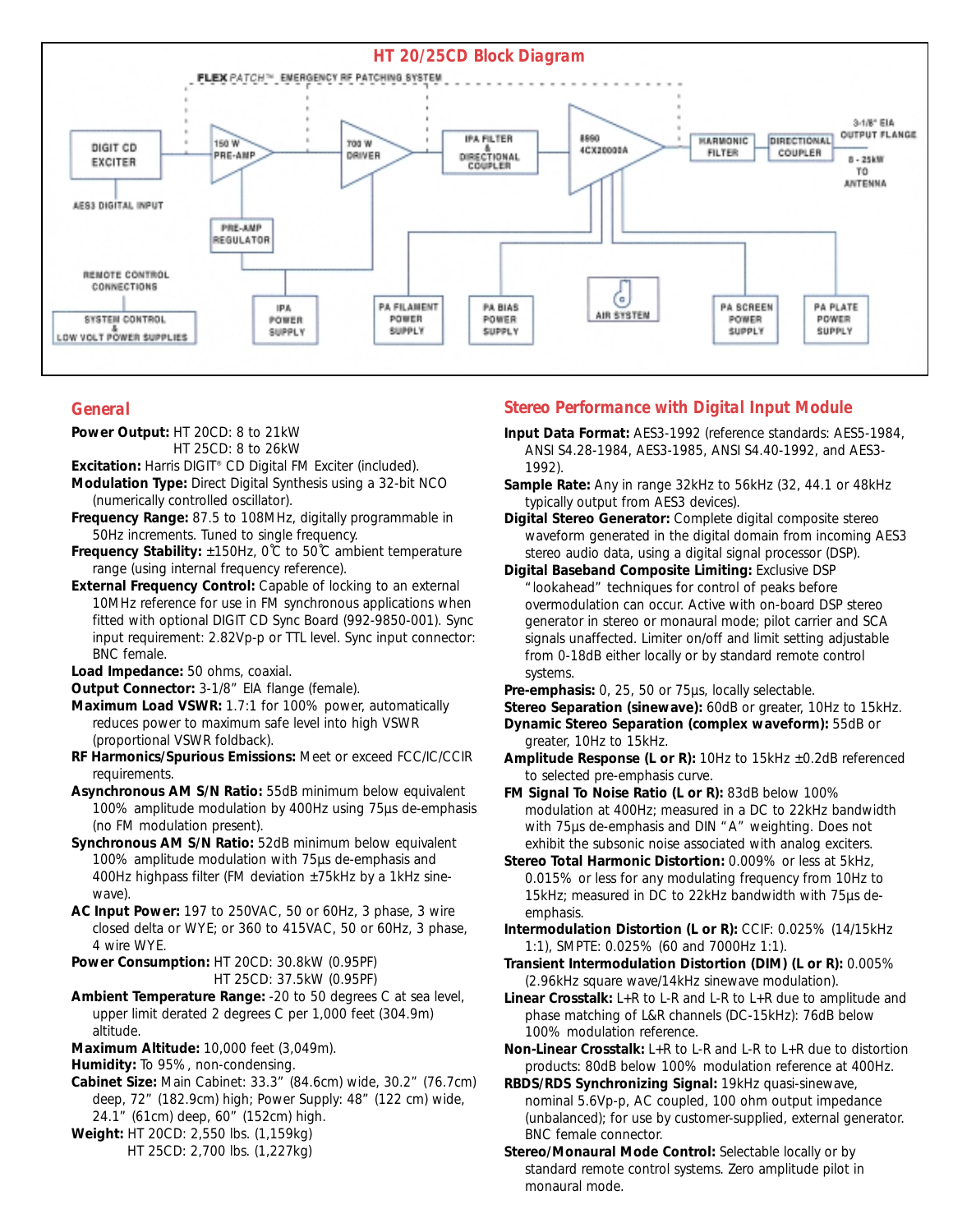

# *General*

**Power Output:** HT 20CD: 8 to 21kW HT 25CD: 8 to 26kW

**Excitation:** Harris DIGIT® CD Digital FM Exciter (included).

- **Modulation Type:** Direct Digital Synthesis using a 32-bit NCO (numerically controlled oscillator).
- **Frequency Range:** 87.5 to 108MHz, digitally programmable in 50Hz increments. Tuned to single frequency.
- **Frequency Stability:** ±150Hz, 0˚C to 50˚C ambient temperature range (using internal frequency reference).
- **External Frequency Control:** Capable of locking to an external 10MHz reference for use in FM synchronous applications when fitted with optional DIGIT CD Sync Board (992-9850-001). Sync input requirement: 2.82Vp-p or TTL level. Sync input connector: BNC female.

**Load Impedance:** 50 ohms, coaxial.

- **Output Connector:** 3-1/8" EIA flange (female).
- **Maximum Load VSWR:** 1.7:1 for 100% power, automatically reduces power to maximum safe level into high VSWR (proportional VSWR foldback).
- **RF Harmonics/Spurious Emissions:** Meet or exceed FCC/IC/CCIR requirements.
- **Asynchronous AM S/N Ratio:** 55dB minimum below equivalent 100% amplitude modulation by 400Hz using 75µs de-emphasis (no FM modulation present).
- **Synchronous AM S/N Ratio:** 52dB minimum below equivalent 100% amplitude modulation with 75µs de-emphasis and 400Hz highpass filter (FM deviation  $\pm$ 75kHz by a 1kHz sinewave).
- **AC Input Power:** 197 to 250VAC, 50 or 60Hz, 3 phase, 3 wire closed delta or WYE; or 360 to 415VAC, 50 or 60Hz, 3 phase, 4 wire WYE.
- **Power Consumption:** HT 20CD: 30.8kW (0.95PF) HT 25CD: 37.5kW (0.95PF)
- **Ambient Temperature Range:** -20 to 50 degrees C at sea level, upper limit derated 2 degrees C per 1,000 feet (304.9m) altitude.
- **Maximum Altitude:** 10,000 feet (3,049m).
- **Humidity:** To 95%, non-condensing.
- **Cabinet Size:** Main Cabinet: 33.3" (84.6cm) wide, 30.2" (76.7cm) deep, 72" (182.9cm) high; Power Supply: 48" (122 cm) wide, 24.1" (61cm) deep, 60" (152cm) high.
- **Weight:** HT 20CD: 2,550 lbs. (1,159kg) HT 25CD: 2,700 lbs. (1,227kg)

# *Stereo Performance with Digital Input Module*

- **Input Data Format:** AES3-1992 (reference standards: AES5-1984, ANSI S4.28-1984, AES3-1985, ANSI S4.40-1992, and AES3- 1992).
- **Sample Rate:** Any in range 32kHz to 56kHz (32, 44.1 or 48kHz typically output from AES3 devices).

**Digital Stereo Generator:** Complete digital composite stereo waveform generated in the digital domain from incoming AES3 stereo audio data, using a digital signal processor (DSP).

**Digital Baseband Composite Limiting:** Exclusive DSP "lookahead" techniques for control of peaks before overmodulation can occur. Active with on-board DSP stereo generator in stereo or monaural mode; pilot carrier and SCA signals unaffected. Limiter on/off and limit setting adjustable from 0-18dB either locally or by standard remote control systems.

**Pre-emphasis:** 0, 25, 50 or 75µs, locally selectable.

- **Stereo Separation (sinewave):** 60dB or greater, 10Hz to 15kHz. **Dynamic Stereo Separation (complex waveform):** 55dB or
- greater, 10Hz to 15kHz. **Amplitude Response (L or R):** 10Hz to 15kHz ±0.2dB referenced to selected pre-emphasis curve.
- **FM Signal To Noise Ratio (L or R):** 83dB below 100% modulation at 400Hz; measured in a DC to 22kHz bandwidth with 75µs de-emphasis and DIN "A" weighting. Does not exhibit the subsonic noise associated with analog exciters.
- **Stereo Total Harmonic Distortion:** 0.009% or less at 5kHz, 0.015% or less for any modulating frequency from 10Hz to 15kHz; measured in DC to 22kHz bandwidth with 75µs deemphasis.
- **Intermodulation Distortion (L or R):** CCIF: 0.025% (14/15kHz 1:1), SMPTE: 0.025% (60 and 7000Hz 1:1).
- **Transient Intermodulation Distortion (DIM) (L or R):** 0.005% (2.96kHz square wave/14kHz sinewave modulation).
- **Linear Crosstalk:** L+R to L-R and L-R to L+R due to amplitude and phase matching of L&R channels (DC-15kHz): 76dB below 100% modulation reference.
- **Non-Linear Crosstalk:** L+R to L-R and L-R to L+R due to distortion products: 80dB below 100% modulation reference at 400Hz.
- **RBDS/RDS Synchronizing Signal:** 19kHz quasi-sinewave, nominal 5.6Vp-p, AC coupled, 100 ohm output impedance (unbalanced); for use by customer-supplied, external generator. BNC female connector.
- **Stereo/Monaural Mode Control:** Selectable locally or by standard remote control systems. Zero amplitude pilot in monaural mode.